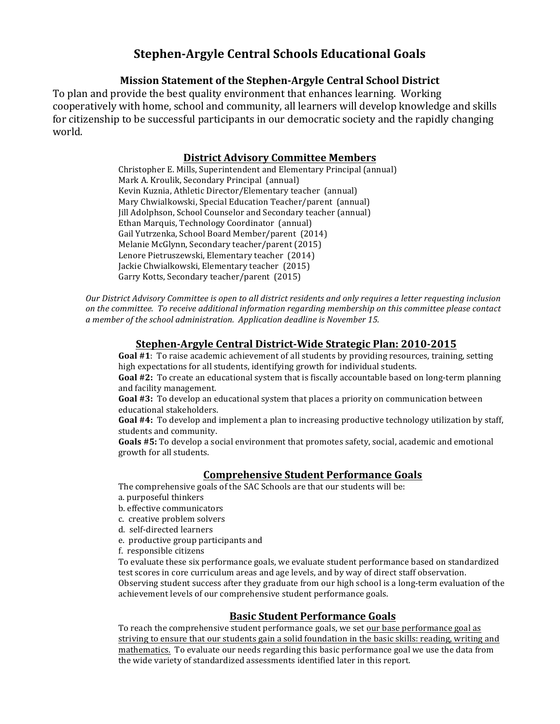# **Stephen'Argyle-Central-Schools-Educational-Goals**

# **Mission Statement of the Stephen-Argyle Central School District**

To plan and provide the best quality environment that enhances learning. Working cooperatively with home, school and community, all learners will develop knowledge and skills for citizenship to be successful participants in our democratic society and the rapidly changing world.

### **District-Advisory Committee-Members**

Christopher E. Mills, Superintendent and Elementary Principal (annual) Mark A. Kroulik, Secondary Principal (annual) Kevin Kuznia, Athletic Director/Elementary teacher (annual) Mary Chwialkowski, Special Education Teacher/parent (annual) Jill Adolphson, School Counselor and Secondary teacher (annual) Ethan Marquis, Technology Coordinator (annual) Gail Yutrzenka, School Board Member/parent (2014) Melanie McGlynn, Secondary teacher/parent (2015) Lenore Pietruszewski, Elementary teacher (2014) Jackie Chwialkowski, Elementary teacher (2015) Garry Kotts, Secondary teacher/parent (2015)

*Our District Advisory Committee is open to all district residents and only requires a letter requesting inclusion* on the committee. To receive additional information regarding membership on this committee please contact a member of the school administration. Application deadline is November 15.

# **Stephen'Argyle-Central-District'Wide-Strategic-Plan:-2010'2015**

Goal #1: To raise academic achievement of all students by providing resources, training, setting high expectations for all students, identifying growth for individual students.

Goal #2: To create an educational system that is fiscally accountable based on long-term planning and facility management.

Goal #3: To develop an educational system that places a priority on communication between educational stakeholders.

**Goal #4:** To develop and implement a plan to increasing productive technology utilization by staff, students and community.

Goals #5: To develop a social environment that promotes safety, social, academic and emotional growth for all students.

# **Comprehensive-Student-Performance-Goals**

The comprehensive goals of the SAC Schools are that our students will be:

- a. purposeful thinkers
- b. effective communicators
- c. creative problem solvers
- d. self-directed learners
- e. productive group participants and
- f. responsible citizens

To evaluate these six performance goals, we evaluate student performance based on standardized test scores in core curriculum areas and age levels, and by way of direct staff observation. Observing student success after they graduate from our high school is a long-term evaluation of the achievement levels of our comprehensive student performance goals.

# **Basic-Student-Performance-Goals**

To reach the comprehensive student performance goals, we set our base performance goal as striving to ensure that our students gain a solid foundation in the basic skills: reading, writing and mathematics. To evaluate our needs regarding this basic performance goal we use the data from the wide variety of standardized assessments identified later in this report.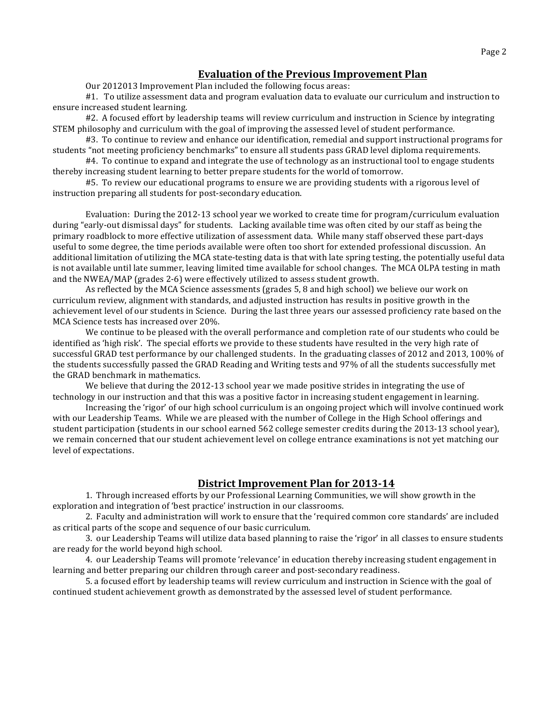#### **Evaluation of the Previous Improvement Plan**

Our 2012013 Improvement Plan included the following focus areas:

#1. To utilize assessment data and program evaluation data to evaluate our curriculum and instruction to ensure increased student learning.

#2. A focused effort by leadership teams will review curriculum and instruction in Science by integrating STEM philosophy and curriculum with the goal of improving the assessed level of student performance.

#3. To continue to review and enhance our identification, remedial and support instructional programs for students "not meeting proficiency benchmarks" to ensure all students pass GRAD level diploma requirements.

#4. To continue to expand and integrate the use of technology as an instructional tool to engage students thereby increasing student learning to better prepare students for the world of tomorrow.

#5. To review our educational programs to ensure we are providing students with a rigorous level of instruction preparing all students for post-secondary education.

Evaluation: During the 2012-13 school year we worked to create time for program/curriculum evaluation during "early-out dismissal days" for students. Lacking available time was often cited by our staff as being the primary roadblock to more effective utilization of assessment data. While many staff observed these part-days useful to some degree, the time periods available were often too short for extended professional discussion. An additional limitation of utilizing the MCA state-testing data is that with late spring testing, the potentially useful data is not available until late summer, leaving limited time available for school changes. The MCA OLPA testing in math and the NWEA/MAP (grades 2-6) were effectively utilized to assess student growth.

As reflected by the MCA Science assessments (grades 5, 8 and high school) we believe our work on curriculum review, alignment with standards, and adjusted instruction has results in positive growth in the achievement level of our students in Science. During the last three years our assessed proficiency rate based on the MCA Science tests has increased over 20%.

We continue to be pleased with the overall performance and completion rate of our students who could be identified as 'high risk'. The special efforts we provide to these students have resulted in the very high rate of successful GRAD test performance by our challenged students. In the graduating classes of 2012 and 2013, 100% of the students successfully passed the GRAD Reading and Writing tests and 97% of all the students successfully met the GRAD benchmark in mathematics.

We believe that during the 2012-13 school year we made positive strides in integrating the use of technology in our instruction and that this was a positive factor in increasing student engagement in learning.

Increasing the 'rigor' of our high school curriculum is an ongoing project which will involve continued work with our Leadership Teams. While we are pleased with the number of College in the High School offerings and student participation (students in our school earned 562 college semester credits during the 2013-13 school year), we remain concerned that our student achievement level on college entrance examinations is not vet matching our level of expectations.

#### **District Improvement Plan for 2013-14**

1. Through increased efforts by our Professional Learning Communities, we will show growth in the exploration and integration of 'best practice' instruction in our classrooms.

2. Faculty and administration will work to ensure that the 'required common core standards' are included as critical parts of the scope and sequence of our basic curriculum.

3. our Leadership Teams will utilize data based planning to raise the 'rigor' in all classes to ensure students are ready for the world beyond high school.

4. our Leadership Teams will promote 'relevance' in education thereby increasing student engagement in learning and better preparing our children through career and post-secondary readiness.

5. a focused effort by leadership teams will review curriculum and instruction in Science with the goal of continued student achievement growth as demonstrated by the assessed level of student performance.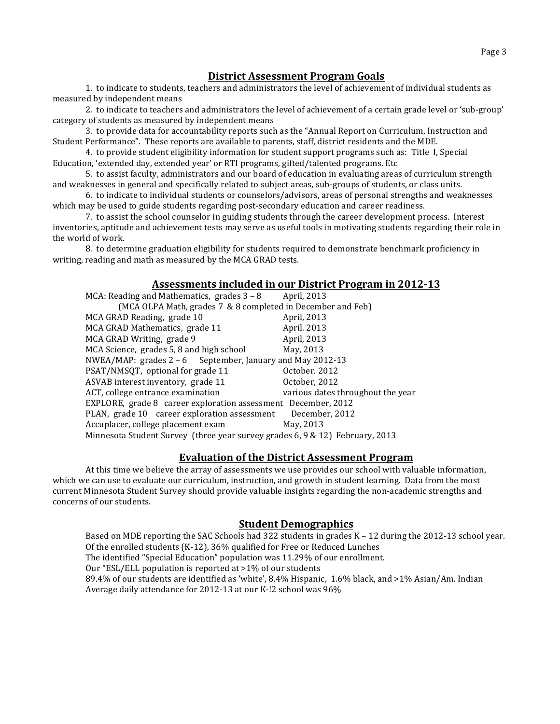### **District-Assessment-Program-Goals**

1. to indicate to students, teachers and administrators the level of achievement of individual students as measured by independent means

2. to indicate to teachers and administrators the level of achievement of a certain grade level or 'sub-group' category of students as measured by independent means

3. to provide data for accountability reports such as the "Annual Report on Curriculum, Instruction and Student Performance". These reports are available to parents, staff, district residents and the MDE.

4. to provide student eligibility information for student support programs such as: Title I, Special Education, 'extended day, extended year' or RTI programs, gifted/talented programs. Etc

5. to assist faculty, administrators and our board of education in evaluating areas of curriculum strength and weaknesses in general and specifically related to subject areas, sub-groups of students, or class units.

6. to indicate to individual students or counselors/advisors, areas of personal strengths and weaknesses which may be used to guide students regarding post-secondary education and career readiness.

7. to assist the school counselor in guiding students through the career development process. Interest inventories, aptitude and achievement tests may serve as useful tools in motivating students regarding their role in the world of work.

8. to determine graduation eligibility for students required to demonstrate benchmark proficiency in writing, reading and math as measured by the MCA GRAD tests.

#### Assessments included in our District Program in 2012-13

| MCA: Reading and Mathematics, grades $3 - 8$                                 | April, 2013                       |  |  |
|------------------------------------------------------------------------------|-----------------------------------|--|--|
| (MCA OLPA Math, grades 7 & 8 completed in December and Feb)                  |                                   |  |  |
| MCA GRAD Reading, grade 10                                                   | April, 2013                       |  |  |
| MCA GRAD Mathematics, grade 11                                               | April. 2013                       |  |  |
| MCA GRAD Writing, grade 9                                                    | April, 2013                       |  |  |
| MCA Science, grades 5, 8 and high school                                     | May, 2013                         |  |  |
| NWEA/MAP: grades $2 - 6$ September, January and May 2012-13                  |                                   |  |  |
| PSAT/NMSQT, optional for grade 11                                            | October, 2012                     |  |  |
| ASVAB interest inventory, grade 11                                           | October, 2012                     |  |  |
| ACT, college entrance examination                                            | various dates throughout the year |  |  |
| EXPLORE, grade 8 career exploration assessment December, 2012                |                                   |  |  |
| PLAN, grade 10 career exploration assessment                                 | December, 2012                    |  |  |
| Accuplacer, college placement exam                                           | May, 2013                         |  |  |
| Minnesota Student Survey (three year survey grades 6, 9 & 12) February, 2013 |                                   |  |  |

#### **Evaluation-of-the-District-Assessment Program**

At this time we believe the array of assessments we use provides our school with valuable information, which we can use to evaluate our curriculum, instruction, and growth in student learning. Data from the most current Minnesota Student Survey should provide valuable insights regarding the non-academic strengths and concerns of our students.

#### **Student Demographics**

Based on MDE reporting the SAC Schools had 322 students in grades  $K - 12$  during the 2012-13 school year. Of the enrolled students (K-12), 36% qualified for Free or Reduced Lunches The identified "Special Education" population was 11.29% of our enrollment. Our "ESL/ELL population is reported at >1% of our students 89.4% of our students are identified as 'white', 8.4% Hispanic, 1.6% black, and >1% Asian/Am. Indian Average daily attendance for 2012-13 at our K-!2 school was 96%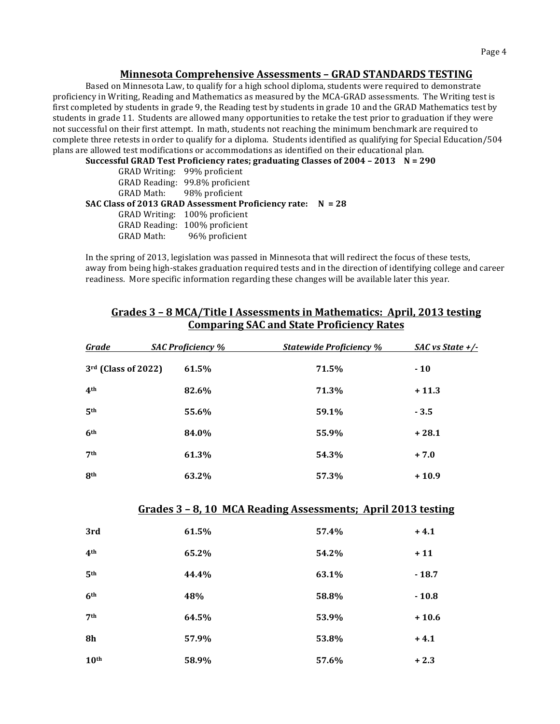#### **Minnesota-Comprehensive-Assessments-– GRAD-STANDARDS-TESTING**

Based on Minnesota Law, to qualify for a high school diploma, students were required to demonstrate proficiency in Writing, Reading and Mathematics as measured by the MCA-GRAD assessments. The Writing test is first completed by students in grade 9, the Reading test by students in grade 10 and the GRAD Mathematics test by students in grade 11. Students are allowed many opportunities to retake the test prior to graduation if they were not successful on their first attempt. In math, students not reaching the minimum benchmark are required to complete three retests in order to qualify for a diploma. Students identified as qualifying for Special Education/504 plans are allowed test modifications or accommodations as identified on their educational plan.

Successful GRAD Test Proficiency rates; graduating Classes of 2004 - 2013 N = 290

| GRAD Writing: 99% proficient                                 |  |
|--------------------------------------------------------------|--|
| GRAD Reading: 99.8% proficient                               |  |
| GRAD Math: 98% proficient                                    |  |
| SAC Class of 2013 GRAD Assessment Proficiency rate: $N = 28$ |  |
| GRAD Writing: 100% proficient                                |  |
| GRAD Reading: 100% proficient                                |  |
| GRAD Math: 96% proficient                                    |  |

In the spring of 2013, legislation was passed in Minnesota that will redirect the focus of these tests, away from being high-stakes graduation required tests and in the direction of identifying college and career readiness. More specific information regarding these changes will be available later this year.

| <u>Grade</u>        | <b>SAC Proficiency %</b> | <b>Statewide Proficiency %</b>                               | SAC vs State $+$ /- |
|---------------------|--------------------------|--------------------------------------------------------------|---------------------|
| 3rd (Class of 2022) | 61.5%                    | 71.5%                                                        | $-10$               |
| 4 <sup>th</sup>     | 82.6%                    | 71.3%                                                        | $+11.3$             |
| 5 <sup>th</sup>     | 55.6%                    | 59.1%                                                        | $-3.5$              |
| 6 <sup>th</sup>     | 84.0%                    | 55.9%                                                        | $+28.1$             |
| 7 <sup>th</sup>     | 61.3%                    | 54.3%                                                        | $+7.0$              |
| <b>8th</b>          | 63.2%                    | 57.3%                                                        | $+10.9$             |
|                     |                          |                                                              |                     |
|                     |                          | Grades 3 - 8, 10 MCA Reading Assessments; April 2013 testing |                     |
| 3rd                 | 61.5%                    | 57.4%                                                        | $+4.1$              |
| 4 <sup>th</sup>     | 65.2%                    | 54.2%                                                        | $+11$               |
| 5 <sup>th</sup>     | 44.4%                    | 63.1%                                                        | $-18.7$             |
| 6 <sup>th</sup>     | 48%                      | 58.8%                                                        | $-10.8$             |
| 7 <sup>th</sup>     | 64.5%                    | 53.9%                                                        | $+10.6$             |
| <b>8h</b>           | 57.9%                    | 53.8%                                                        | $+4.1$              |
| 10 <sup>th</sup>    | 58.9%                    | 57.6%                                                        | $+2.3$              |

### Grades 3 - 8 MCA/Title I Assessments in Mathematics: April, 2013 testing **Comparing-SAC-and-State-Proficiency-Rates**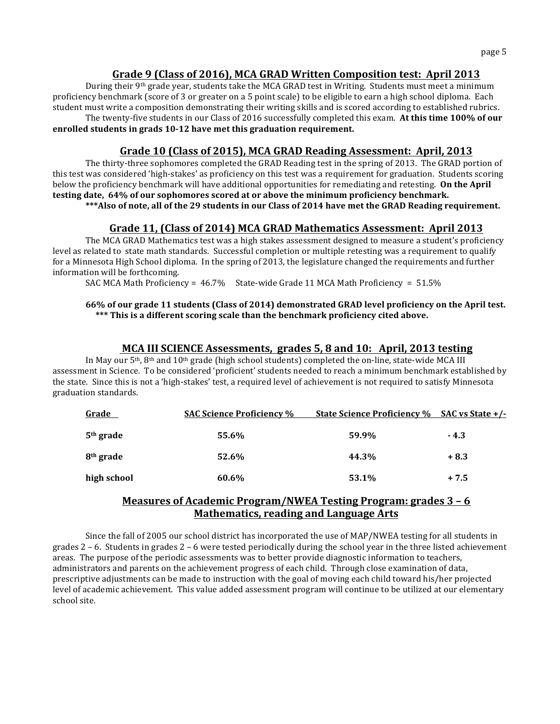### Grade 9 (Class of 2016), MCA GRAD Written Composition test: April 2013

During their 9<sup>th</sup> grade year, students take the MCA GRAD test in Writing. Students must meet a minimum proficiency benchmark (score of 3 or greater on a 5 point scale) to be eligible to earn a high school diploma. Each student must write a composition demonstrating their writing skills and is scored according to established rubrics. The twenty-five students in our Class of 2016 successfully completed this exam. At this time 100% of our enrolled students in grads 10-12 have met this graduation requirement.

### Grade 10 (Class of 2015), MCA GRAD Reading Assessment: April, 2013

The thirty-three sophomores completed the GRAD Reading test in the spring of 2013. The GRAD portion of this test was considered 'high-stakes' as proficiency on this test was a requirement for graduation. Students scoring below the proficiency benchmark will have additional opportunities for remediating and retesting. **On the April** testing date, 64% of our sophomores scored at or above the minimum proficiency benchmark. \*\*\*Also of note, all of the 29 students in our Class of 2014 have met the GRAD Reading requirement.

#### Grade 11, (Class of 2014) MCA GRAD Mathematics Assessment: April 2013

The MCA GRAD Mathematics test was a high stakes assessment designed to measure a student's proficiency level as related to state math standards. Successful completion or multiple retesting was a requirement to qualify for a Minnesota High School diploma. In the spring of 2013, the legislature changed the requirements and further information will be forthcoming.

SAC MCA Math Proficiency =  $46.7\%$  State-wide Grade 11 MCA Math Proficiency =  $51.5\%$ 

#### 66% of our grade 11 students (Class of 2014) demonstrated GRAD level proficiency on the April test. \*\*\* This is a different scoring scale than the benchmark proficiency cited above.

#### **MCA III SCIENCE Assessments, grades 5, 8 and 10: April, 2013 testing**

In May our 5<sup>th</sup>, 8<sup>th</sup> and 10<sup>th</sup> grade (high school students) completed the on-line, state-wide MCA III assessment in Science. To be considered 'proficient' students needed to reach a minimum benchmark established by the state. Since this is not a 'high-stakes' test, a required level of achievement is not required to satisfy Minnesota graduation standards.

| Grade                 | <b>SAC Science Proficiency %</b> | <b>State Science Proficiency % SAC vs State +/-</b> |        |
|-----------------------|----------------------------------|-----------------------------------------------------|--------|
| 5 <sup>th</sup> grade | 55.6%                            | 59.9%                                               | $-4.3$ |
| 8 <sup>th</sup> grade | 52.6%                            | 44.3%                                               | $+8.3$ |
| high school           | 60.6%                            | 53.1%                                               | $+7.5$ |

### **Measures-of-Academic-Program/NWEA-Testing-Program:-grades-3-– 6 Mathematics, reading and Language Arts**

Since the fall of 2005 our school district has incorporated the use of MAP/NWEA testing for all students in grades  $2$  – 6. Students in grades  $2$  – 6 were tested periodically during the school year in the three listed achievement areas. The purpose of the periodic assessments was to better provide diagnostic information to teachers, administrators and parents on the achievement progress of each child. Through close examination of data, prescriptive adjustments can be made to instruction with the goal of moving each child toward his/her projected level of academic achievement. This value added assessment program will continue to be utilized at our elementary school site.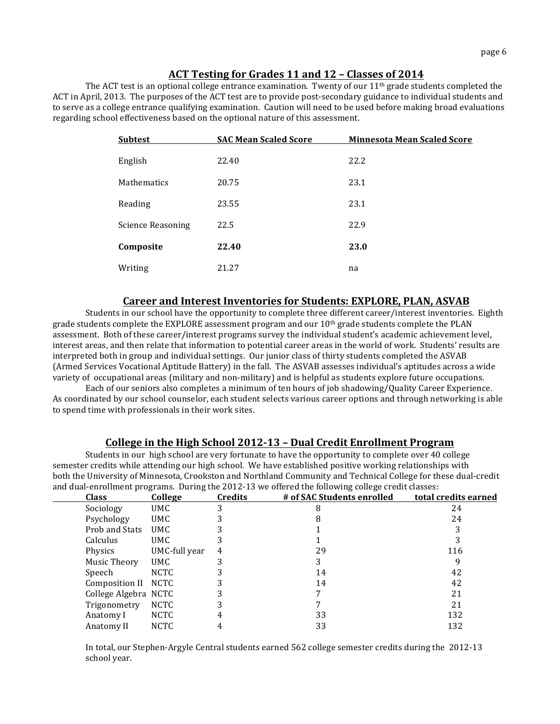### **ACT-Testing-for-Grades-11-and-12-– Classes-of 2014-**

The ACT test is an optional college entrance examination. Twenty of our  $11<sup>th</sup>$  grade students completed the ACT in April, 2013. The purposes of the ACT test are to provide post-secondary guidance to individual students and to serve as a college entrance qualifying examination. Caution will need to be used before making broad evaluations regarding school effectiveness based on the optional nature of this assessment.

| <b>Subtest</b>           | <b>SAC Mean Scaled Score</b> | <b>Minnesota Mean Scaled Score</b> |
|--------------------------|------------------------------|------------------------------------|
| English                  | 22.40                        | 22.2                               |
| Mathematics              | 20.75                        | 23.1                               |
| Reading                  | 23.55                        | 23.1                               |
| <b>Science Reasoning</b> | 22.5                         | 22.9                               |
| Composite                | 22.40                        | 23.0                               |
| Writing                  | 21.27                        | na                                 |

#### **Career and Interest Inventories for Students: EXPLORE, PLAN, ASVAB**

Students in our school have the opportunity to complete three different career/interest inventories. Eighth grade students complete the EXPLORE assessment program and our  $10<sup>th</sup>$  grade students complete the PLAN assessment. Both of these career/interest programs survey the individual student's academic achievement level, interest areas, and then relate that information to potential career areas in the world of work. Students' results are interpreted both in group and individual settings. Our junior class of thirty students completed the ASVAB (Armed Services Vocational Aptitude Battery) in the fall. The ASVAB assesses individual's aptitudes across a wide variety of occupational areas (military and non-military) and is helpful as students explore future occupations.

Each of our seniors also completes a minimum of ten hours of job shadowing/Quality Career Experience. As coordinated by our school counselor, each student selects various career options and through networking is able to spend time with professionals in their work sites.

#### **College in-the-High-School-2012'13-– Dual-Credit-Enrollment-Program**

Students in our high school are very fortunate to have the opportunity to complete over 40 college semester credits while attending our high school. We have established positive working relationships with both the University of Minnesota, Crookston and Northland Community and Technical College for these dual-credit and dual-enrollment programs. During the 2012-13 we offered the following college credit classes:

| <b>Class</b>         | <b>College</b> | <b>Credits</b> | # of SAC Students enrolled | total credits earned |
|----------------------|----------------|----------------|----------------------------|----------------------|
| Sociology            | UMC.           |                | 8                          | 24                   |
| Psychology           | UMC.           |                |                            | 24                   |
| Prob and Stats       | UMC.           |                |                            |                      |
| Calculus             | UMC.           |                |                            |                      |
| Physics              | UMC-full year  | 4              | 29                         | 116                  |
| Music Theory         | UMC.           | 3              |                            |                      |
| Speech               | <b>NCTC</b>    |                | 14                         | 42                   |
| Composition II NCTC  |                |                | 14                         | 42                   |
| College Algebra NCTC |                |                |                            | 21                   |
| Trigonometry         | <b>NCTC</b>    |                |                            | 21                   |
| Anatomy I            | <b>NCTC</b>    |                | 33                         | 132                  |
| Anatomy II           | <b>NCTC</b>    |                | 33                         | 132                  |

In total, our Stephen-Argyle Central students earned 562 college semester credits during the 2012-13 school year.